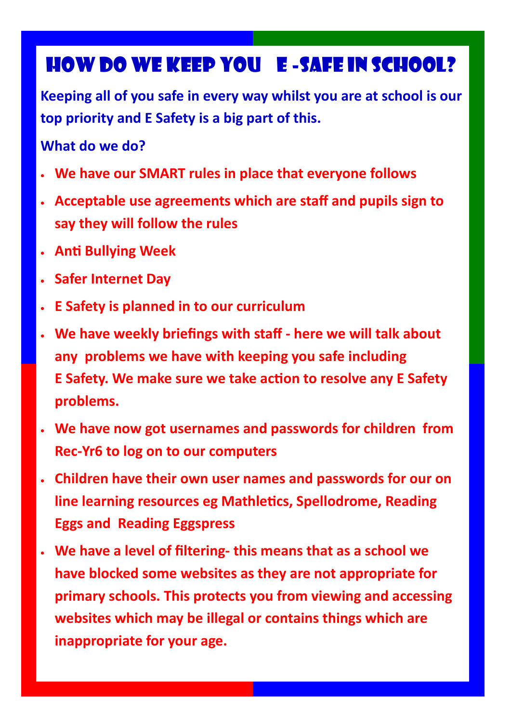### How do we keep you E -Safe in School?

**Keeping all of you safe in every way whilst you are at school is our top priority and E Safety is a big part of this.**

#### **What do we do?**

- **We have our SMART rules in place that everyone follows**
- **Acceptable use agreements which are staff and pupils sign to say they will follow the rules**
- **Anti Bullying Week**
- **Safer Internet Day**
- **E Safety is planned in to our curriculum**
- **We have weekly briefings with staff - here we will talk about any problems we have with keeping you safe including E Safety. We make sure we take action to resolve any E Safety problems.**
- **We have now got usernames and passwords for children from Rec-Yr6 to log on to our computers**
- **Children have their own user names and passwords for our on line learning resources eg Mathletics, Spellodrome, Reading Eggs and Reading Eggspress**
- **We have a level of filtering- this means that as a school we have blocked some websites as they are not appropriate for primary schools. This protects you from viewing and accessing websites which may be illegal or contains things which are inappropriate for your age.**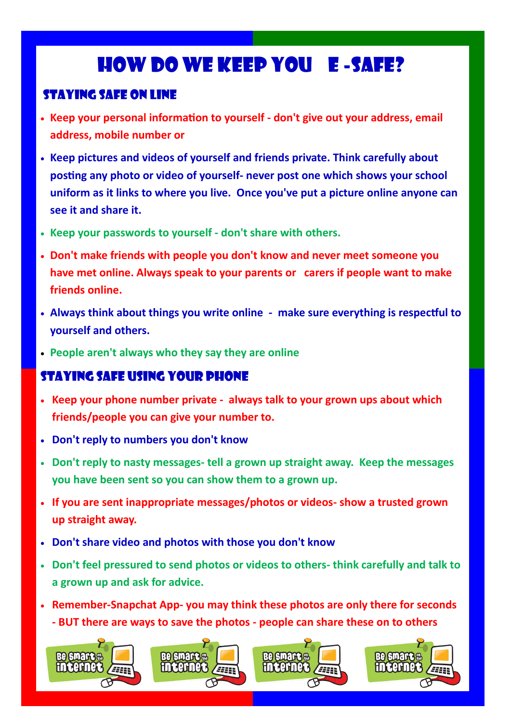# How do we keep you E -Safe?

#### Staying Safe on line

- **Keep your personal information to yourself - don't give out your address, email address, mobile number or**
- **Keep pictures and videos of yourself and friends private. Think carefully about posting any photo or video of yourself- never post one which shows your school uniform as it links to where you live. Once you've put a picture online anyone can see it and share it.**
- **Keep your passwords to yourself - don't share with others.**
- **Don't make friends with people you don't know and never meet someone you have met online. Always speak to your parents or carers if people want to make friends online.**
- **Always think about things you write online - make sure everything is respectful to yourself and others.**
- **People aren't always who they say they are online**

#### Staying Safe using your phone

- **Keep your phone number private - always talk to your grown ups about which friends/people you can give your number to.**
- **Don't reply to numbers you don't know**
- **Don't reply to nasty messages- tell a grown up straight away. Keep the messages you have been sent so you can show them to a grown up.**
- **If you are sent inappropriate messages/photos or videos- show a trusted grown up straight away.**
- **Don't share video and photos with those you don't know**
- **Don't feel pressured to send photos or videos to others- think carefully and talk to a grown up and ask for advice.**
- **Remember-Snapchat App- you may think these photos are only there for seconds - BUT there are ways to save the photos - people can share these on to others**

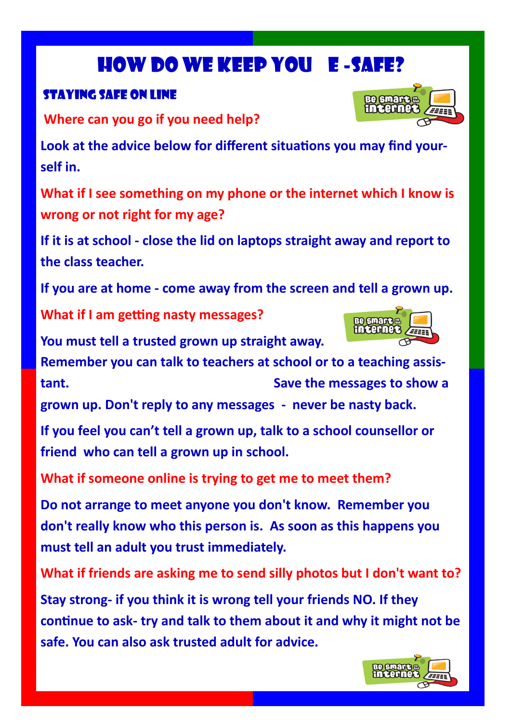# How do we keep you E -Safe?

### Staying Safe on line

**Where can you go if you need help?**

**Look at the advice below for different situations you may find yourself in.**

**What if I see something on my phone or the internet which I know is wrong or not right for my age?**

**If it is at school - close the lid on laptops straight away and report to the class teacher.**

**If you are at home - come away from the screen and tell a grown up.**

**What if I am getting nasty messages?**

**You must tell a trusted grown up straight away.** 

**Remember you can talk to teachers at school or to a teaching assistant. Save the messages to show a grown up. Don't reply to any messages - never be nasty back.**

**If you feel you can't tell a grown up, talk to a school counsellor or friend who can tell a grown up in school.**

**What if someone online is trying to get me to meet them?**

**Do not arrange to meet anyone you don't know. Remember you don't really know who this person is. As soon as this happens you must tell an adult you trust immediately.**

**What if friends are asking me to send silly photos but I don't want to?**

**Stay strong- if you think it is wrong tell your friends NO. If they continue to ask- try and talk to them about it and why it might not be safe. You can also ask trusted adult for advice.**